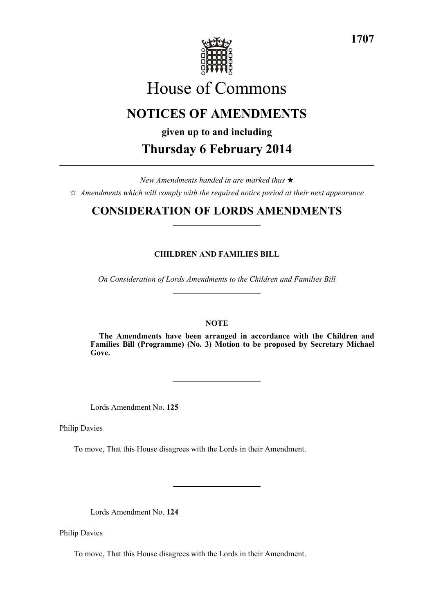

# House of Commons

# **NOTICES OF AMENDMENTS**

**given up to and including**

# **Thursday 6 February 2014**

*New Amendments handed in are marked thus*   $\hat{\mathcal{A}}$  Amendments which will comply with the required notice period at their next appearance

# **CONSIDERATION OF LORDS AMENDMENTS**

## **CHILDREN AND FAMILIES BILL**

*On Consideration of Lords Amendments to the Children and Families Bill*

### **NOTE**

**The Amendments have been arranged in accordance with the Children and Families Bill (Programme) (No. 3) Motion to be proposed by Secretary Michael Gove.**

Lords Amendment No. **125**

Philip Davies

To move, That this House disagrees with the Lords in their Amendment.

Lords Amendment No. **124**

Philip Davies

To move, That this House disagrees with the Lords in their Amendment.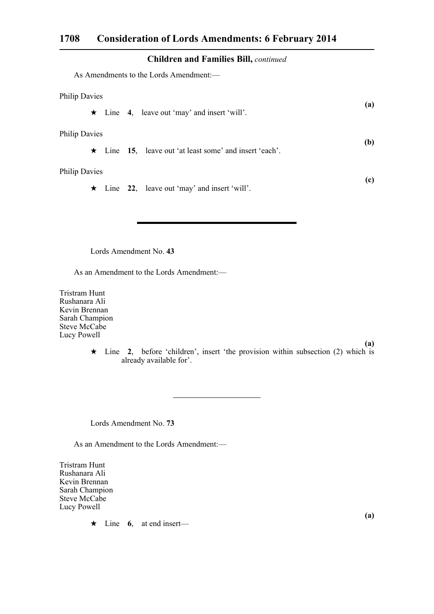#### **Children and Families Bill,** *continued*

As Amendments to the Lords Amendment:-

| <b>Philip Davies</b> |  |  |                                                               |     |  |
|----------------------|--|--|---------------------------------------------------------------|-----|--|
|                      |  |  | $\star$ Line 4, leave out 'may' and insert 'will'.            | (a) |  |
| <b>Philip Davies</b> |  |  |                                                               |     |  |
|                      |  |  | $\star$ Line 15, leave out 'at least some' and insert 'each'. | (b) |  |
| <b>Philip Davies</b> |  |  |                                                               |     |  |
|                      |  |  | $\star$ Line 22, leave out 'may' and insert 'will'.           | (c) |  |
|                      |  |  |                                                               |     |  |

Lords Amendment No. **43**

As an Amendment to the Lords Amendment:—

Tristram Hunt Rushanara Ali Kevin Brennan Sarah Champion Steve McCabe Lucy Powell

**(a)**  $\star$  Line 2, before 'children', insert 'the provision within subsection (2) which is already available for'.

Lords Amendment No. **73**

As an Amendment to the Lords Amendment:—

Tristram Hunt Rushanara Ali Kevin Brennan Sarah Champion Steve McCabe Lucy Powell

 $\star$  Line 6, at end insert—

**(a)**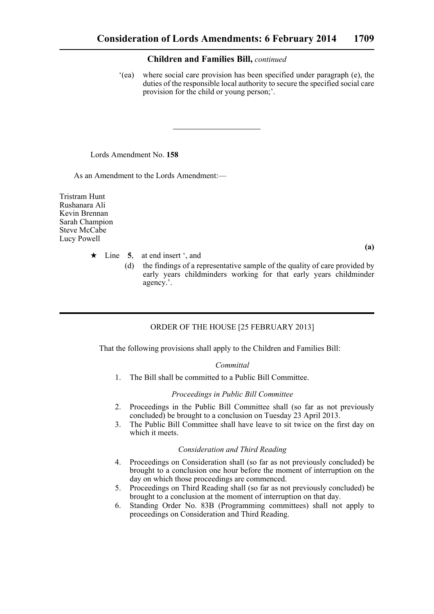#### **Children and Families Bill,** *continued*

'(ea) where social care provision has been specified under paragraph (e), the duties of the responsible local authority to secure the specified social care provision for the child or young person;'.

Lords Amendment No. **158**

As an Amendment to the Lords Amendment:—

Tristram Hunt Rushanara Ali Kevin Brennan Sarah Champion Steve McCabe Lucy Powell

 $\star$  Line 5, at end insert ', and

**(a)**

(d) the findings of a representative sample of the quality of care provided by early years childminders working for that early years childminder agency.'.

### ORDER OF THE HOUSE [25 FEBRUARY 2013]

That the following provisions shall apply to the Children and Families Bill:

#### *Committal*

1. The Bill shall be committed to a Public Bill Committee.

#### *Proceedings in Public Bill Committee*

- 2. Proceedings in the Public Bill Committee shall (so far as not previously concluded) be brought to a conclusion on Tuesday 23 April 2013.
- 3. The Public Bill Committee shall have leave to sit twice on the first day on which it meets.

#### *Consideration and Third Reading*

- 4. Proceedings on Consideration shall (so far as not previously concluded) be brought to a conclusion one hour before the moment of interruption on the day on which those proceedings are commenced.
- 5. Proceedings on Third Reading shall (so far as not previously concluded) be brought to a conclusion at the moment of interruption on that day.
- 6. Standing Order No. 83B (Programming committees) shall not apply to proceedings on Consideration and Third Reading.